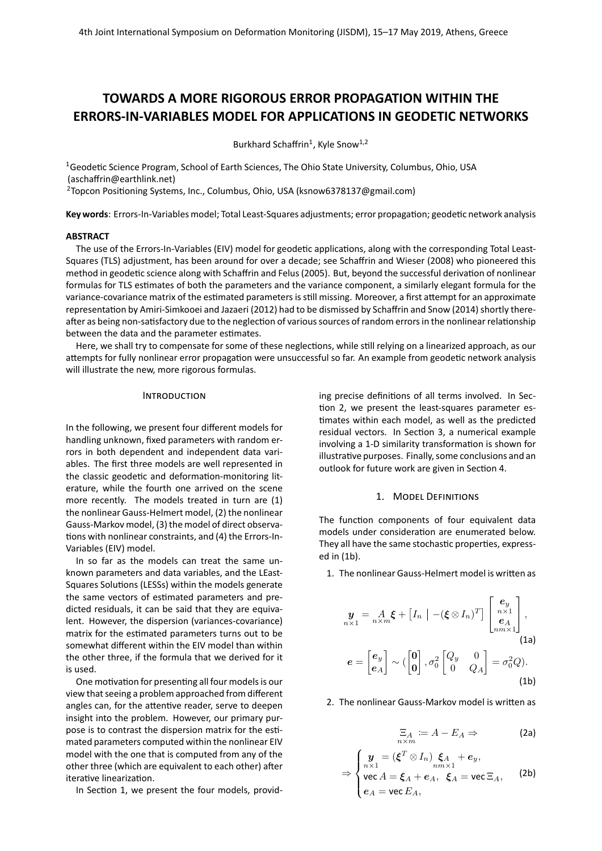# **TOWARDS A MORE RIGOROUS ERROR PROPAGATION WITHIN THE ERRORS-IN-VARIABLES MODEL FOR APPLICATIONS IN GEODETIC NETWORKS**

Burkhard Schaffrin<sup>1</sup>, Kyle Snow<sup>1,2</sup>

<sup>1</sup>Geodetic Science Program, School of Earth Sciences, The Ohio State University, Columbus, Ohio, USA [\(aschaffrin@earthlink.net\)](mailto:aschaffrin@earthlink.net)

<sup>2</sup>Topcon Positioning Systems, Inc., Columbus, Ohio, USA [\(ksnow6378137@gmail.com\)](mailto:ksnow6378137@gmail.com)

**Key words**: Errors-In-Variables model; Total Least-Squares adjustments; error propagation; geodetic network analysis

## **ABSTRACT**

The use of the Errors-In-Variables (EIV) model for geodetic applications, along with the corresponding Total Least-Squares (TLS) adjustment, has been around for over a decade; see Schaffrin and Wieser [\(2008\)](#page-5-0) who pioneered this method in geodetic science along with Schaffrin and Felus [\(2005\)](#page-5-1). But, beyond the successful derivation of nonlinear formulas for TLS estimates of both the parameters and the variance component, a similarly elegant formula for the variance-covariance matrix of the estimated parameters is still missing. Moreover, a first attempt for an approximate representation by Amiri-Simkooei and Jazaeri [\(2012\)](#page-5-2) had to be dismissed by Schaffrin and Snow [\(2014\)](#page-5-3) shortly thereafter as being non-satisfactory due to the neglection of various sources of random errors in the nonlinear relationship between the data and the parameter estimates.

Here, we shall try to compensate for some of these neglections, while still relying on a linearized approach, as our attempts for fully nonlinear error propagation were unsuccessful so far. An example from geodetic network analysis will illustrate the new, more rigorous formulas.

## **INTRODUCTION**

In the following, we present four different models for handling unknown, fixed parameters with random errors in both dependent and independent data variables. The first three models are well represented in the classic geodetic and deformation-monitoring literature, while the fourth one arrived on the scene more recently. The models treated in turn are (1) the nonlinear Gauss-Helmert model, (2) the nonlinear Gauss-Markov model, (3) the model of direct observations with nonlinear constraints, and (4) the Errors-In-Variables (EIV) model.

In so far as the models can treat the same unknown parameters and data variables, and the LEast-Squares Solutions (LESSs) within the models generate the same vectors of estimated parameters and predicted residuals, it can be said that they are equivalent. However, the dispersion (variances-covariance) matrix for the estimated parameters turns out to be somewhat different within the EIV model than within the other three, if the formula that we derived for it is used.

One motivation for presenting all four models is our view that seeing a problem approached from different angles can, for the attentive reader, serve to deepen insight into the problem. However, our primary purpose is to contrast the dispersion matrix for the estimated parameters computed within the nonlinear EIV model with the one that is computed from any of the other three (which are equivalent to each other) after iterative linearization.

In Section [1,](#page-0-0) we present the four models, provid-

ing precise definitions of all terms involved. In Section [2,](#page-1-0) we present the least-squares parameter estimates within each model, as well as the predicted residual vectors. In Section [3,](#page-4-0) a numerical example involving a 1-D similarity transformation is shown for illustrative purposes. Finally, some conclusions and an outlook for future work are given in Section [4.](#page-5-4)

## 1. MODEL DEFINITIONS

<span id="page-0-0"></span>The function components of four equivalent data models under consideration are enumerated below. They all have the same stochastic properties, expressed in [\(1b\)](#page-0-1).

1. The nonlinear Gauss-Helmert model is written as

$$
\mathbf{y}_{n\times 1} = A_{n\times m} \boldsymbol{\xi} + \begin{bmatrix} I_n \end{bmatrix} - (\boldsymbol{\xi} \otimes I_n)^T \begin{bmatrix} \mathbf{e}_y \\ \mathbf{e}_A \\ \mathbf{e}_A \\ n \le 1 \end{bmatrix},
$$
\n
$$
\mathbf{e} = \begin{bmatrix} \mathbf{e}_y \\ \mathbf{e}_A \end{bmatrix} \sim (\begin{bmatrix} \mathbf{0} \\ \mathbf{0} \end{bmatrix}, \sigma_0^2 \begin{bmatrix} Q_y & 0 \\ 0 & Q_A \end{bmatrix} = \sigma_0^2 Q).
$$
\n(1b)

2. The nonlinear Gauss-Markov model is written as

<span id="page-0-1"></span>
$$
\Xi_A := A - E_A \Rightarrow \qquad \qquad \textbf{(2a)}
$$

$$
\Rightarrow \begin{cases} \mathbf{y} = (\boldsymbol{\xi}^T \otimes I_n) \boldsymbol{\xi}_A + \boldsymbol{e}_y, \\ \text{vec } A = \boldsymbol{\xi}_A + \boldsymbol{e}_A, \ \boldsymbol{\xi}_A = \text{vec } \Xi_A, \\ \boldsymbol{e}_A = \text{vec } E_A, \end{cases}
$$
 (2b)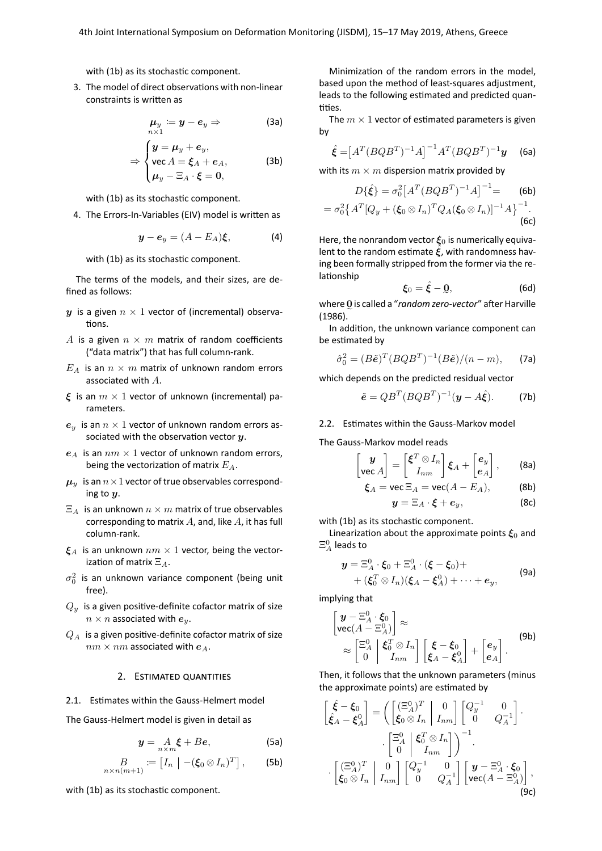with (1b) as its stochastic component.

3. The model of direct observations with non-linear constraints is written as

$$
\mu_y \coloneqq y - e_y \Rightarrow \tag{3a}
$$

$$
\Rightarrow \begin{cases} y = \mu_y + e_y, \\ \text{vec } A = \xi_A + e_A, \\ \mu_y - \Xi_A \cdot \xi = 0, \end{cases}
$$
 (3b)

with (1b) as its stochastic component.

4. The Errors-In-Variables (EIV) model is written as

$$
\mathbf{y} - \mathbf{e}_y = (A - E_A)\boldsymbol{\xi}, \tag{4}
$$

with (1b) as its stochastic component.

The terms of the models, and their sizes, are defined as follows:

- y is a given  $n \times 1$  vector of (incremental) observations.
- A is a given  $n \times m$  matrix of random coefficients ("data matrix") that has full column-rank.
- $E_A$  is an  $n \times m$  matrix of unknown random errors associated with  $A$ .
- $\xi$  is an  $m \times 1$  vector of unknown (incremental) parameters
- $e_u$  is an  $n \times 1$  vector of unknown random errors associated with the observation vector  $y$ .
- $e_A$  is an  $nm \times 1$  vector of unknown random errors, being the vectorization of matrix  $E_A$ .
- $\mu_u$  is an  $n \times 1$  vector of true observables corresponding to  $\boldsymbol{u}$ .
- $\Xi_A$  is an unknown  $n \times m$  matrix of true observables corresponding to matrix  $A$ , and, like  $A$ , it has full column-rank.
- $\mathcal{E}_A$  is an unknown  $nm \times 1$  vector, being the vectorization of matrix  $\Xi_A$ .
- $\sigma_0^2$  is an unknown variance component (being unit free).
- $Q_y$  is a given positive-definite cofactor matrix of size  $n \times n$  associated with  $e_y$ .
- <span id="page-1-0"></span> $Q_A$  is a given positive-definite cofactor matrix of size  $nm \times nm$  associated with  $e_A$ .

#### 2. ESTIMATED QUANTITIES

2.1. Estimates within the Gauss-Helmert model

The Gauss-Helmert model is given in detail as

$$
y = A_{n \times m} \xi + Be,
$$
 (5a)

$$
B_{n\times n(m+1)} := [I_n \mid -(\xi_0 \otimes I_n)^T], \qquad \text{(5b)}
$$

with (1b) as its stochastic component.

Minimization of the random errors in the model. based upon the method of least-squares adjustment, leads to the following estimated and predicted quantities.

The  $m \times 1$  vector of estimated parameters is given by

$$
\hat{\xi} = [A^T (B Q B^T)^{-1} A]^{-1} A^T (B Q B^T)^{-1} y \quad \text{(6a)}
$$

with its  $m \times m$  dispersion matrix provided by

$$
D\{\hat{\xi}\} = \sigma_0^2 \left[A^T (BQB^T)^{-1}A\right]^{-1} =
$$
 (6b)  
=  $\sigma_0^2 \left\{A^T [Q_y + (\xi_0 \otimes I_n)^T Q_A (\xi_0 \otimes I_n)]^{-1} A\right\}^{-1}$ . (6c)

Here, the nonrandom vector  $\xi_0$  is numerically equivalent to the random estimate  $\hat{\xi}$ , with randomness having been formally stripped from the former via the relationship

<span id="page-1-1"></span>
$$
\boldsymbol{\xi}_0 = \hat{\boldsymbol{\xi}} - \mathbf{Q},\tag{6d}
$$

where 0 is called a "random zero-vector" after Harville  $(1986).$ 

In addition, the unknown variance component can be estimated by

$$
\hat{\sigma}_0^2 = (B\tilde{\mathbf{e}})^T (BQB^T)^{-1} (B\tilde{\mathbf{e}}) / (n - m), \qquad \text{(7a)}
$$

which depends on the predicted residual vector

$$
\tilde{e} = QB^T(BQB^T)^{-1}(\mathbf{y} - A\hat{\xi}).
$$
 (7b)

## 2.2. Estimates within the Gauss-Markov model

The Gauss-Markov model reads

$$
\begin{bmatrix} \mathbf{y} \\ \mathbf{vec}\,A \end{bmatrix} = \begin{bmatrix} \boldsymbol{\xi}^T \otimes I_n \\ I_{nm} \end{bmatrix} \boldsymbol{\xi}_A + \begin{bmatrix} \boldsymbol{e}_y \\ \boldsymbol{e}_A \end{bmatrix}, \qquad \text{(8a)}
$$

$$
\xi_A = \text{vec} \, \Xi_A = \text{vec}(A - E_A), \tag{8b}
$$

$$
\mathbf{y} = \Xi_A \cdot \boldsymbol{\xi} + \boldsymbol{e}_y,\tag{8c}
$$

with (1b) as its stochastic component.

Linearization about the approximate points  $\xi_0$  and  $\Xi_A^0$  leads to

$$
\mathbf{y} = \Xi_A^0 \cdot \boldsymbol{\xi}_0 + \Xi_A^0 \cdot (\boldsymbol{\xi} - \boldsymbol{\xi}_0) + + (\boldsymbol{\xi}_0^T \otimes I_n)(\boldsymbol{\xi}_A - \boldsymbol{\xi}_A^0) + \cdots + \boldsymbol{e}_y,
$$
 (9a)

implying that

۱

$$
\mathbf{y} - \Xi_A^0 \cdot \xi_0
$$
\n
$$
\text{vec}(A - \Xi_A^0) \Big] \approx
$$
\n
$$
\approx \begin{bmatrix} \Xi_A^0 & \xi_0^T \otimes I_n \\ 0 & I_{nm} \end{bmatrix} \begin{bmatrix} \xi - \xi_0 \\ \xi_A - \xi_A^0 \end{bmatrix} + \begin{bmatrix} e_y \\ e_A \end{bmatrix}.
$$
\n(9b)

Then, it follows that the unknown parameters (minus the approximate points) are estimated by

$$
\begin{bmatrix}\n\hat{\xi} - \xi_0 \\
\hat{\xi}_A - \xi_A^0\n\end{bmatrix} = \left( \begin{bmatrix}\n(\Xi_A^0)^T & 0 \\
\xi_0 \otimes I_n & I_{nm}\n\end{bmatrix} \begin{bmatrix}\nQ_y^{-1} & 0 \\
0 & Q_A^{-1}\n\end{bmatrix} \right) \n\cdot \begin{bmatrix}\n\Xi_A^0 & \xi_0^T \otimes I_n \\
0 & I_{nm}\n\end{bmatrix} \right)^{-1} \n\cdot \begin{bmatrix}\n(\Xi_A^0)^T & 0 \\
\xi_0 \otimes I_n & I_{nm}\n\end{bmatrix} \begin{bmatrix}\nQ_y^{-1} & 0 \\
0 & Q_A^{-1}\n\end{bmatrix} \begin{bmatrix}\n\mathbf{y} - \Xi_A^0 \cdot \xi_0 \\
\text{vec}(A - \Xi_A^0)\n\end{bmatrix},
$$
\n(9c)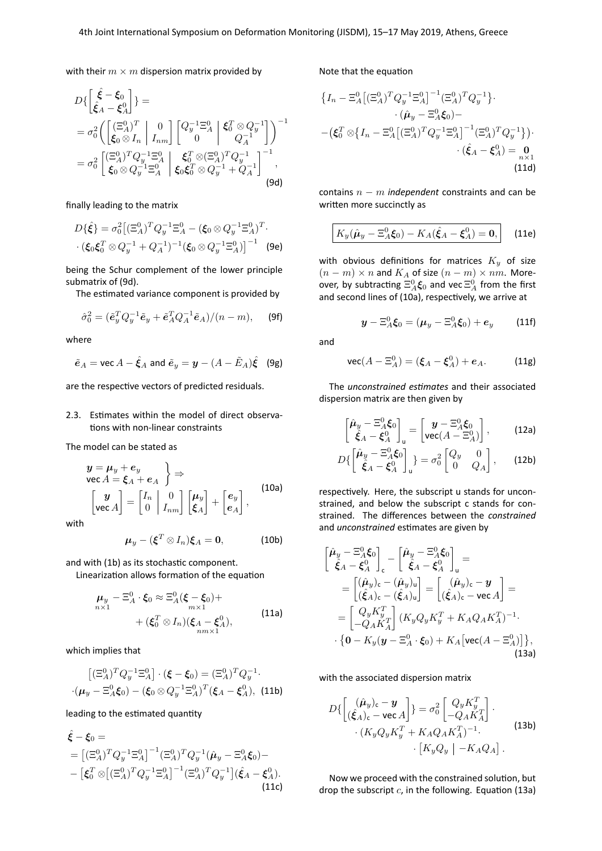with their  $m \times m$  dispersion matrix provided by

$$
D\left\{\begin{aligned}\n\hat{\xi} - \xi_0 \\
\hat{\xi}_A - \xi_A^0\n\end{aligned}\right\} &=\n\sigma_0^2 \left(\begin{bmatrix}\n(\Xi_A^0)^T & 0 \\
\xi_0 \otimes I_n & I_{nm}\n\end{bmatrix}\n\begin{bmatrix}\nQ_y^{-1}\Xi_A^0 & \xi_0^T \otimes Q_y^{-1} \\
0 & Q_A^{-1}\n\end{bmatrix}\right)^{-1} \\
= \sigma_0^2 \begin{bmatrix}\n(\Xi_A^0)^T Q_y^{-1}\Xi_A^0 & \xi_0^T \otimes (\Xi_A^0)^T Q_y^{-1} \\
\xi_0 \otimes Q_y^{-1}\Xi_A^0 & \xi_0 \xi_0^T \otimes Q_y^{-1} + Q_A^{-1}\n\end{bmatrix}^{-1},
$$
\n(9d)

finally leading to the matrix

$$
D\{\hat{\xi}\} = \sigma_0^2 \big[ (\Xi_A^0)^T Q_y^{-1} \Xi_A^0 - (\xi_0 \otimes Q_y^{-1} \Xi_A^0)^T \cdot (\xi_0 \xi_0^T \otimes Q_y^{-1} + Q_A^{-1})^{-1} (\xi_0 \otimes Q_y^{-1} \Xi_A^0) \big]^{-1}
$$
 (9e)

being the Schur complement of the lower principle submatrix of [\(9d\)](#page-2-0).

The estimated variance component is provided by

$$
\hat{\sigma}_0^2 = (\tilde{\boldsymbol{e}}_y^T Q_y^{-1} \tilde{\boldsymbol{e}}_y + \tilde{\boldsymbol{e}}_A^T Q_A^{-1} \tilde{\boldsymbol{e}}_A)/(n - m), \qquad \text{(9f)}
$$

where

$$
\tilde{\mathbf{e}}_A = \text{vec } A - \hat{\xi}_A \text{ and } \tilde{\mathbf{e}}_y = \mathbf{y} - (A - \tilde{E}_A)\hat{\xi}
$$
 (9g)

are the respective vectors of predicted residuals.

2.3. Estimates within the model of direct observations with non-linear constraints

The model can be stated as

$$
\begin{aligned}\ny &= \mu_y + e_y \\
\text{vec } A &= \xi_A + e_A\n\end{aligned}\n\bigg} \Rightarrow \n\bigg[\n\begin{matrix}\ny \\
\text{vec } A\n\end{matrix}\n\bigg] =\n\begin{bmatrix}\nI_n & 0 \\
0 & I_{nm}\n\end{bmatrix}\n\begin{bmatrix}\n\mu_y \\
\xi_A\n\end{bmatrix} +\n\begin{bmatrix}\ne_y \\
e_A\n\end{bmatrix},
$$
\n(10a)

with

$$
\boldsymbol{\mu}_{y}-(\boldsymbol{\xi}^{T}\otimes I_{n})\boldsymbol{\xi}_{A}=\mathbf{0}, \qquad (10b)
$$

and with [\(1b\)](#page-0-1) as its stochastic component.

Linearization allows formation of the equation

$$
\mu_y - \Xi_A^0 \cdot \xi_0 \approx \Xi_A^0 (\xi - \xi_0) +
$$
\n
$$
+ (\xi_0^T \otimes I_n)(\xi_A - \xi_A^0),
$$
\n(11a)

which implies that

$$
[(\Xi_A^0)^T Q_y^{-1} \Xi_A^0] \cdot (\xi - \xi_0) = (\Xi_A^0)^T Q_y^{-1}.
$$

$$
\cdot (\mu_y - \Xi_A^0 \xi_0) - (\xi_0 \otimes Q_y^{-1} \Xi_A^0)^T (\xi_A - \xi_A^0),
$$
 (11b)

leading to the estimated quantity

$$
\hat{\xi} - \xi_0 =
$$
\n
$$
= [(\Xi_A^0)^T Q_y^{-1} \Xi_A^0]^{-1} (\Xi_A^0)^T Q_y^{-1} (\hat{\mu}_y - \Xi_A^0 \xi_0) -
$$
\n
$$
- [\xi_0^T \otimes [(\Xi_A^0)^T Q_y^{-1} \Xi_A^0]^{-1} (\Xi_A^0)^T Q_y^{-1}] (\hat{\xi}_A - \xi_A^0).
$$
\n(11c)

Note that the equation

$$
\{I_n - \Xi_A^0 \left[ (\Xi_A^0)^T Q_y^{-1} \Xi_A^0 \right]^{-1} (\Xi_A^0)^T Q_y^{-1} \}.
$$

$$
\cdot (\hat{\mu}_y - \Xi_A^0 \xi_0) -
$$

$$
-(\xi_0^T \otimes \{I_n - \Xi_A^0 \left[ (\Xi_A^0)^T Q_y^{-1} \Xi_A^0 \right]^{-1} (\Xi_A^0)^T Q_y^{-1} \} ).
$$

$$
\cdot (\hat{\xi}_A - \xi_A^0) = \mathbf{0}_{n \times 1}
$$
(11d)

<span id="page-2-0"></span>contains n − m *independent* constraints and can be written more succinctly as

$$
\boxed{K_y(\hat{\mu}_y - \Xi_A^0 \xi_0) - K_A(\hat{\xi}_A - \xi_A^0) = 0,}
$$
 (11e)

<span id="page-2-4"></span>with obvious definitions for matrices  $K_y$  of size  $(n - m) \times n$  and  $K_A$  of size  $(n - m) \times nm$ . Moreover, by subtracting  $\Xi_A^0 \xi_0$  and vec  $\Xi_A^0$  from the first and second lines of [\(10a\)](#page-2-1), respectively, we arrive at

$$
y - \Xi_A^0 \xi_0 = (\mu_y - \Xi_A^0 \xi_0) + e_y
$$
 (11f)

and

$$
\text{vec}(A - \Xi_A^0) = (\xi_A - \xi_A^0) + e_A. \tag{11g}
$$

The *unconstrained estimates* and their associated dispersion matrix are then given by

$$
\begin{bmatrix} \hat{\mu}_y - \Xi_A^0 \xi_0 \\ \hat{\xi}_A - \xi_A^0 \end{bmatrix}_{\mathsf{u}} = \begin{bmatrix} y - \Xi_A^0 \xi_0 \\ \text{vec}(A - \Xi_A^0) \end{bmatrix}, \quad (12a)
$$

$$
D\{\begin{bmatrix} \hat{\mu}_y - \Xi_A^0 \xi_0 \\ \hat{\xi}_A - \xi_A^0 \end{bmatrix}_u\} = \sigma_0^2 \begin{bmatrix} Q_y & 0 \\ 0 & Q_A \end{bmatrix}, \qquad \text{(12b)}
$$

<span id="page-2-1"></span>respectively. Here, the subscript u stands for unconstrained, and below the subscript c stands for constrained. The differences between the *constrained* and *unconstrained* estimates are given by

$$
\begin{aligned}\n\begin{bmatrix}\n\hat{\mu}_y - \Xi_A^0 \xi_0 \\
\hat{\xi}_A - \xi_A^0\n\end{bmatrix}_c - \begin{bmatrix}\n\hat{\mu}_y - \Xi_A^0 \xi_0 \\
\hat{\xi}_A - \xi_A^0\n\end{bmatrix}_u &= \\
= \begin{bmatrix}\n(\hat{\mu}_y)_c - (\hat{\mu}_y)_u \\
(\hat{\xi}_A)_c - (\hat{\xi}_A)_u\n\end{bmatrix} = \begin{bmatrix}\n(\hat{\mu}_y)_c - y \\
(\hat{\xi}_A)_c - \text{vec } A\n\end{bmatrix} = \\
= \begin{bmatrix}\nQ_y K_y^T \\
-Q_A K_A^T\n\end{bmatrix} (K_y Q_y K_y^T + K_A Q_A K_A^T)^{-1} \\
\cdot \{0 - K_y (y - \Xi_A^0 \cdot \xi_0) + K_A [\text{vec}(A - \Xi_A^0)]\},\n\end{aligned}
$$
\n(13a)

with the associated dispersion matrix

<span id="page-2-2"></span>
$$
D\left\{ \begin{bmatrix} (\hat{\mu}_y)_c - \mathbf{y} \\ (\hat{\xi}_A)_c - \text{vec}\,A \end{bmatrix} \right\} = \sigma_0^2 \begin{bmatrix} Q_y K_y^T \\ -Q_A K_A^T \end{bmatrix}.
$$

$$
\cdot (K_y Q_y K_y^T + K_A Q_A K_A^T)^{-1}.
$$
(13b)
$$
\cdot [K_y Q_y | -K_A Q_A].
$$

<span id="page-2-3"></span>Now we proceed with the constrained solution, but drop the subscript  $c$ , in the following. Equation [\(13a\)](#page-2-2)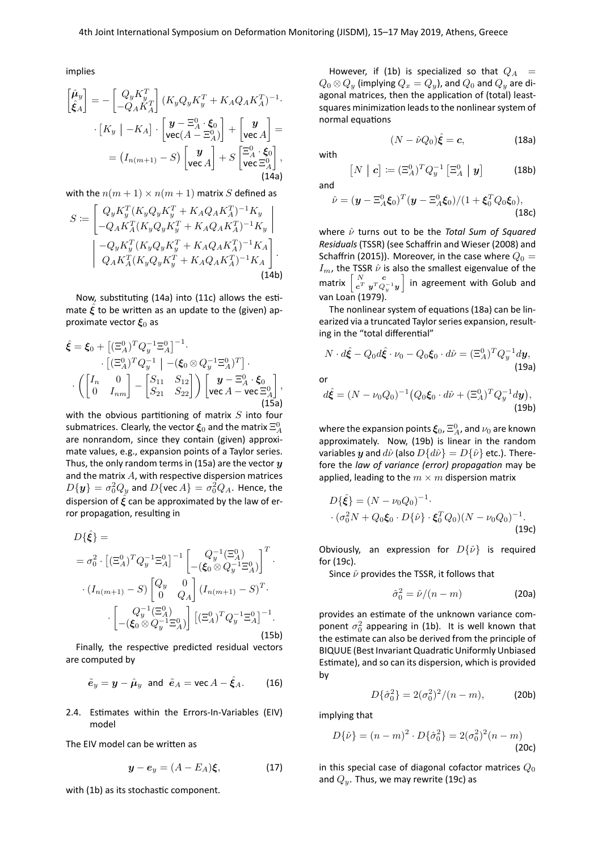implies

$$
\begin{bmatrix} \hat{\mu}_y \\ \hat{\xi}_A \end{bmatrix} = -\begin{bmatrix} Q_y K_y^T \\ -Q_A K_A^T \end{bmatrix} (K_y Q_y K_y^T + K_A Q_A K_A^T)^{-1}.
$$

$$
\cdot [K_y | -K_A] \cdot \begin{bmatrix} \mathbf{y} - \Xi_A^0 \cdot \xi_0 \\ \text{vec}(A - \Xi_A^0) \end{bmatrix} + \begin{bmatrix} \mathbf{y} \\ \text{vec} A \end{bmatrix} =
$$

$$
= (I_{n(m+1)} - S) \begin{bmatrix} \mathbf{y} \\ \text{vec} A \end{bmatrix} + S \begin{bmatrix} \Xi_A^0 \cdot \xi_0 \\ \text{vec} \Xi_A^0 \end{bmatrix},
$$
(14a)

with the  $n(m + 1) \times n(m + 1)$  matrix S defined as

$$
S = \begin{bmatrix} Q_y K_y^T (K_y Q_y K_y^T + K_A Q_A K_A^T)^{-1} K_y \\ -Q_A K_A^T (K_y Q_y K_y^T + K_A Q_A K_A^T)^{-1} K_y \\ -Q_y K_y^T (K_y Q_y K_y^T + K_A Q_A K_A^T)^{-1} K_A \\ Q_A K_A^T (K_y Q_y K_y^T + K_A Q_A K_A^T)^{-1} K_A \end{bmatrix}.
$$
\n(14b)

Now, substituting [\(14a\)](#page-3-0) into [\(11c\)](#page-2-3) allows the estimate  $\hat{\xi}$  to be written as an update to the (given) approximate vector  $\xi_0$  as

<span id="page-3-1"></span>
$$
\hat{\xi} = \xi_0 + \left[ (\Xi_A^0)^T Q_y^{-1} \Xi_A^0 \right]^{-1}.
$$

$$
\cdot \left[ (\Xi_A^0)^T Q_y^{-1} \mid - (\xi_0 \otimes Q_y^{-1} \Xi_A^0)^T \right] \cdot \left( \begin{bmatrix} I_n & 0 \\ 0 & I_{nm} \end{bmatrix} - \begin{bmatrix} S_{11} & S_{12} \\ S_{21} & S_{22} \end{bmatrix} \right) \begin{bmatrix} y - \Xi_A^0 \cdot \xi_0 \\ \text{vec } A - \text{vec } \Xi_A^0 \end{bmatrix},
$$
(15a)

with the obvious partitioning of matrix  $S$  into four submatrices. Clearly, the vector  $\pmb{\xi}_0$  and the matrix  $\Xi^0_A$ are nonrandom, since they contain (given) approximate values, e.g., expansion points of a Taylor series. Thus, the only random terms in [\(15a\)](#page-3-1) are the vector  $y$ and the matrix  $A$ , with respective dispersion matrices  $D\{\bm{y}\}=\sigma_0^2Q_y$  and  $D\{\mathsf{vec}\,A\}=\sigma_0^2Q_A.$  Hence, the dispersion of  $\hat{\xi}$  can be approximated by the law of error propagation, resulting in

<span id="page-3-5"></span>
$$
D\{\hat{\xi}\} =
$$
  
\n
$$
= \sigma_0^2 \cdot \left[ (\Xi_A^0)^T Q_y^{-1} \Xi_A^0 \right]^{-1} \left[ \begin{array}{c} Q_y^{-1} (\Xi_A^0) \\ -(\xi_0 \otimes Q_y^{-1} \Xi_A^0) \end{array} \right]^T \cdot
$$
  
\n
$$
\cdot (I_{n(m+1)} - S) \begin{bmatrix} Q_y & 0 \\ 0 & Q_A \end{bmatrix} (I_{n(m+1)} - S)^T \cdot
$$
  
\n
$$
\cdot \left[ \begin{array}{c} Q_y^{-1} (\Xi_A^0) \\ -(\xi_0 \otimes Q_y^{-1} \Xi_A^0) \end{array} \right] \left[ (\Xi_A^0)^T Q_y^{-1} \Xi_A^0 \right]^{-1} .
$$
\n(15b)

Finally, the respective predicted residual vectors are computed by

$$
\tilde{\boldsymbol{e}}_y = \boldsymbol{y} - \hat{\boldsymbol{\mu}}_y \text{ and } \tilde{\boldsymbol{e}}_A = \text{vec } A - \hat{\boldsymbol{\xi}}_A. \quad (16)
$$

2.4. Estimates within the Errors-In-Variables (EIV) model

The EIV model can be written as

$$
\mathbf{y} - \mathbf{e}_y = (A - E_A)\boldsymbol{\xi}, \tag{17}
$$

with [\(1b\)](#page-0-1) as its stochastic component.

However, if [\(1b\)](#page-0-1) is specialized so that  $Q_A$  =  $Q_0 \otimes Q_y$  (implying  $Q_x = Q_y$ ), and  $Q_0$  and  $Q_y$  are diagonal matrices, then the application of (total) leastsquares minimization leads to the nonlinear system of normal equations

<span id="page-3-2"></span>
$$
(N - \hat{\nu}Q_0)\hat{\xi} = c,\t(18a)
$$

with

$$
\begin{bmatrix} N & \vert & \mathbf{c} \end{bmatrix} := (\Xi_A^0)^T Q_y^{-1} \begin{bmatrix} \Xi_A^0 & \vert & \mathbf{y} \end{bmatrix} \tag{18b}
$$

<span id="page-3-0"></span>and

$$
\hat{\nu} = (\mathbf{y} - \Xi_A^0 \xi_0)^T (\mathbf{y} - \Xi_A^0 \xi_0) / (1 + \xi_0^T Q_0 \xi_0),
$$
\n(18c)

where  $\hat{ν}$  turns out to be the *Total Sum of Squared Residuals* (TSSR) (see Schaffrin and Wieser [\(2008\)](#page-5-0) and Schaffrin [\(2015\)](#page-5-5)). Moreover, in the case where  $Q_0 =$  $I_m$ , the TSSR  $\hat{\nu}$  is also the smallest eigenvalue of the matrix  $\begin{bmatrix} N & c \\ c^T & u^T \end{bmatrix}$  $\left[\begin{smallmatrix} N&\ &\ &\ &c^T&\ &\ &\ &p^TQ_y^{-1}y\end{smallmatrix}\right]$  in agreement with Golub and van Loan [\(1979\)](#page-5-6).

The nonlinear system of equations [\(18a\)](#page-3-2) can be linearized via a truncated Taylor series expansion, resulting in the "total differential"

$$
N \cdot d\hat{\boldsymbol{\xi}} - Q_0 d\hat{\boldsymbol{\xi}} \cdot \nu_0 - Q_0 \boldsymbol{\xi}_0 \cdot d\hat{\nu} = (\Xi_A^0)^T Q_y^{-1} d\boldsymbol{y},
$$
\nor

$$
d\hat{\boldsymbol{\xi}} = (N - \nu_0 Q_0)^{-1} (Q_0 \boldsymbol{\xi}_0 \cdot d\hat{\nu} + (\Xi_A^0)^T Q_y^{-1} d\boldsymbol{y}),
$$

where the expansion points  $\xi_0$ ,  $\Xi^0_A$ , and  $\nu_0$  are known approximately. Now, [\(19b\)](#page-3-3) is linear in the random variables y and  $d\hat{\nu}$  (also  $D{d\hat{\nu}} = D{\hat{\nu}}$  etc.). Therefore the *law of variance (error) propagation* may be applied, leading to the  $m \times m$  dispersion matrix

$$
D\{\hat{\xi}\} = (N - \nu_0 Q_0)^{-1}.
$$
  
 
$$
\cdot (\sigma_0^2 N + Q_0 \xi_0 \cdot D\{\hat{\nu}\} \cdot \xi_0^T Q_0)(N - \nu_0 Q_0)^{-1}.
$$
 (19c)

Obviously, an expression for  $D\{\hat{\nu}\}\$ is required for [\(19c\)](#page-3-4).

Since  $\hat{\nu}$  provides the TSSR, it follows that

$$
\hat{\sigma}_0^2 = \hat{\nu}/(n-m) \tag{20a}
$$

<span id="page-3-4"></span><span id="page-3-3"></span>(19b)

provides an estimate of the unknown variance component  $\sigma_0^2$  appearing in [\(1b\)](#page-0-1). It is well known that the estimate can also be derived from the principle of BIQUUE (Best Invariant Quadratic Uniformly Unbiased Estimate), and so can its dispersion, which is provided by

$$
D\{\hat{\sigma}_0^2\} = 2(\sigma_0^2)^2/(n-m),
$$
 (20b)

implying that

$$
D\{\hat{\nu}\} = (n-m)^2 \cdot D\{\hat{\sigma}_0^2\} = 2(\sigma_0^2)^2(n-m)
$$
\n(20c)

in this special case of diagonal cofactor matrices  $Q_0$ and  $Q_y$ . Thus, we may rewrite [\(19c\)](#page-3-4) as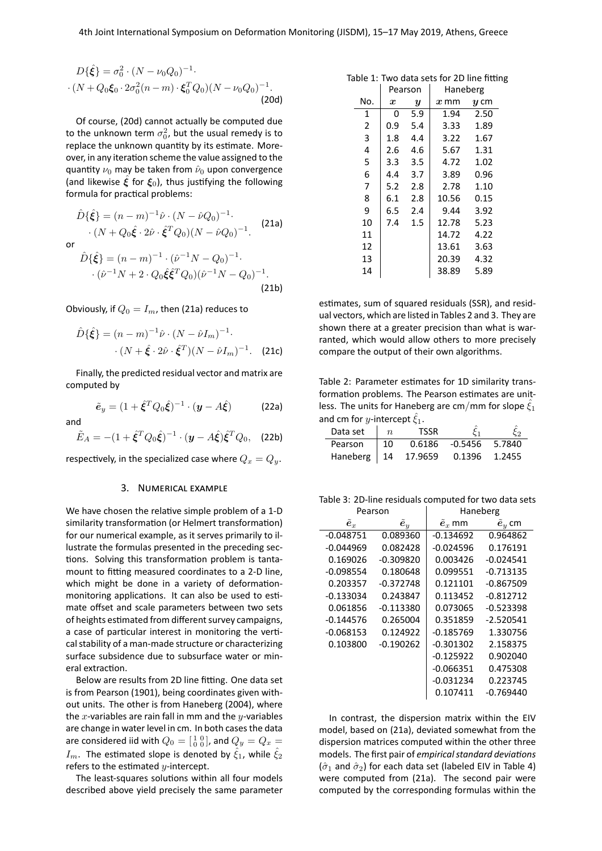$$
D\{\hat{\xi}\} = \sigma_0^2 \cdot (N - \nu_0 Q_0)^{-1} \cdot (N + Q_0 \xi_0 \cdot 2\sigma_0^2 (n - m) \cdot \xi_0^T Q_0) (N - \nu_0 Q_0)^{-1} \cdot (20d)
$$

Of course, [\(20d\)](#page-4-1) cannot actually be computed due to the unknown term  $\sigma_0^2$ , but the usual remedy is to replace the unknown quantity by its estimate. Moreover, in any iteration scheme the value assigned to the quantity  $\nu_0$  may be taken from  $\hat{\nu}_0$  upon convergence (and likewise  $\hat{\xi}$  for  $\xi_0$ ), thus justifying the following formula for practical problems:

$$
\hat{D}\{\hat{\xi}\} = (n-m)^{-1}\hat{\nu} \cdot (N - \hat{\nu}Q_0)^{-1} \cdot (N + Q_0\hat{\xi} \cdot 2\hat{\nu} \cdot \hat{\xi}^T Q_0)(N - \hat{\nu}Q_0)^{-1}.
$$
 (21a)

or

$$
\hat{D}\{\hat{\xi}\} = (n-m)^{-1} \cdot (\hat{\nu}^{-1}N - Q_0)^{-1} \cdot (\hat{\nu}^{-1}N + 2 \cdot Q_0 \hat{\xi} \hat{\xi}^T Q_0) (\hat{\nu}^{-1}N - Q_0)^{-1} \cdot (21b)
$$

Obviously, if  $Q_0 = I_m$ , then [\(21a\)](#page-4-2) reduces to

$$
\hat{D}\{\hat{\xi}\} = (n-m)^{-1}\hat{\nu} \cdot (N - \hat{\nu}I_m)^{-1} \cdot (N + \hat{\xi} \cdot 2\hat{\nu} \cdot \hat{\xi}^T)(N - \hat{\nu}I_m)^{-1} \cdot (21c)
$$

Finally, the predicted residual vector and matrix are computed by

$$
\tilde{\boldsymbol{e}}_y = (1 + \hat{\boldsymbol{\xi}}^T \boldsymbol{Q}_0 \hat{\boldsymbol{\xi}})^{-1} \cdot (\boldsymbol{y} - A \hat{\boldsymbol{\xi}}) \tag{22a}
$$

and  

$$
\tilde{E}_A = -(1 + \hat{\xi}^T Q_0 \hat{\xi})^{-1} \cdot (\mathbf{y} - A \hat{\xi}) \hat{\xi}^T Q_0, \quad \text{(22b)}
$$

<span id="page-4-0"></span>respectively, in the specialized case where  $Q_x = Q_y$ .

#### 3. NUMERICAL EXAMPLE

We have chosen the relative simple problem of a 1-D similarity transformation (or Helmert transformation) for our numerical example, as it serves primarily to illustrate the formulas presented in the preceding sections. Solving this transformation problem is tantamount to fitting measured coordinates to a 2-D line, which might be done in a variety of deformationmonitoring applications. It can also be used to estimate offset and scale parameters between two sets of heights estimated from different survey campaigns, a case of particular interest in monitoring the vertical stability of a man-made structure or characterizing surface subsidence due to subsurface water or mineral extraction.

Below are results from 2D line fitting. One data set is from Pearson [\(1901\)](#page-5-7), being coordinates given without units. The other is from Haneberg [\(2004\)](#page-5-8), where the x-variables are rain fall in mm and the y-variables are change in water level in cm. In both cases the data are considered iid with  $Q_0 = \left[ \begin{smallmatrix} 1 & 0 \ 0 & 0 \end{smallmatrix} \right]$ , and  $Q_y = Q_x =$  $I_m$ . The estimated slope is denoted by  $\hat{\xi}_1$ , while  $\hat{\xi}_2$ refers to the estimated  $y$ -intercept.

The least-squares solutions within all four models described above yield precisely the same parameter

<span id="page-4-1"></span>

| Table 1: Two data sets for 2D line fitting |  |  |  |  |
|--------------------------------------------|--|--|--|--|
|                                            |  |  |  |  |

|     |           | Pearson          | Haneberg |        |  |
|-----|-----------|------------------|----------|--------|--|
| No. | $\pmb{x}$ | $\boldsymbol{y}$ | $x$ mm   | $y$ cm |  |
| 1   | O         | 5.9              | 1.94     | 2.50   |  |
| 2   | 0.9       | 5.4              | 3.33     | 1.89   |  |
| 3   | 1.8       | 4.4              | 3.22     | 1.67   |  |
| 4   | 2.6       | 4.6              | 5.67     | 1.31   |  |
| 5   | 3.3       | 3.5              | 4.72     | 1.02   |  |
| 6   | 4.4       | 3.7              | 3.89     | 0.96   |  |
| 7   | 5.2       | 2.8              | 2.78     | 1.10   |  |
| 8   | 6.1       | 2.8              | 10.56    | 0.15   |  |
| 9   | 6.5       | 2.4              | 9.44     | 3.92   |  |
| 10  | 7.4       | $1.5\,$          | 12.78    | 5.23   |  |
| 11  |           |                  | 14.72    | 4.22   |  |
| 12  |           |                  | 13.61    | 3.63   |  |
| 13  |           |                  | 20.39    | 4.32   |  |
| 14  |           |                  | 38.89    | 5.89   |  |

<span id="page-4-2"></span>estimates, sum of squared residuals (SSR), and residual vectors, which are listed in Tables [2](#page-4-3) and [3.](#page-4-4) They are shown there at a greater precision than what is warranted, which would allow others to more precisely compare the output of their own algorithms.

<span id="page-4-3"></span>Table 2: Parameter estimates for 1D similarity transformation problems. The Pearson estimates are unitless. The units for Haneberg are cm/mm for slope  $\hat{\xi}_1$ and cm for *y*-intercept  $\xi_1$ .

|                       |                  | - -         |                |        |
|-----------------------|------------------|-------------|----------------|--------|
| Data set              | $\boldsymbol{n}$ | <b>TSSR</b> |                |        |
| Pearson               | - 10             | 0.6186      | -0.5456 5.7840 |        |
| Haneberg   14 17.9659 |                  |             | 0.1396         | 1.2455 |

<span id="page-4-4"></span>Table 3: 2D-line residuals computed for two data sets

|                    | Pearson            | Haneberg              |                  |  |  |
|--------------------|--------------------|-----------------------|------------------|--|--|
| $\tilde{\bm{e}}_x$ | $\tilde{\bm{e}}_y$ | $\tilde{\bm{e}}_x$ mm | $\tilde{e}_u$ cm |  |  |
| $-0.048751$        | 0.089360           | $-0.134692$           | 0.964862         |  |  |
| $-0.044969$        | 0.082428           | $-0.024596$           | 0.176191         |  |  |
| 0.169026           | $-0.309820$        | 0.003426              | $-0.024541$      |  |  |
| $-0.098554$        | 0.180648           | 0.099551              | $-0.713135$      |  |  |
| 0.203357           | $-0.372748$        | 0.121101              | $-0.867509$      |  |  |
| $-0.133034$        | 0.243847           | 0.113452              | $-0.812712$      |  |  |
| 0.061856           | $-0.113380$        | 0.073065              | $-0.523398$      |  |  |
| $-0.144576$        | 0.265004           | 0.351859              | $-2.520541$      |  |  |
| $-0.068153$        | 0.124922           | $-0.185769$           | 1.330756         |  |  |
| 0.103800           | $-0.190262$        | $-0.301302$           | 2.158375         |  |  |
|                    |                    | $-0.125922$           | 0.902040         |  |  |
|                    |                    | $-0.066351$           | 0.475308         |  |  |
|                    |                    | $-0.031234$           | 0.223745         |  |  |
|                    |                    | 0.107411              | -0.769440        |  |  |

In contrast, the dispersion matrix within the EIV model, based on [\(21a\)](#page-4-2), deviated somewhat from the dispersion matrices computed within the other three models. The first pair of *empirical standard deviations*  $(\hat{\sigma}_1$  and  $\hat{\sigma}_2$ ) for each data set (labeled EIV in Table [4\)](#page-5-9) were computed from [\(21a\)](#page-4-2). The second pair were computed by the corresponding formulas within the